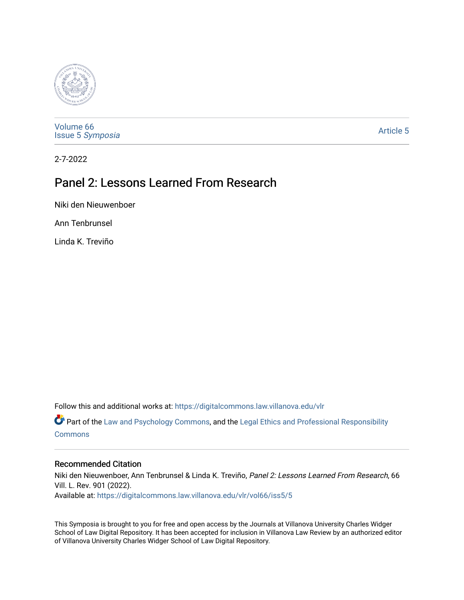

[Volume 66](https://digitalcommons.law.villanova.edu/vlr/vol66) Issue 5 [Symposia](https://digitalcommons.law.villanova.edu/vlr/vol66/iss5) 

[Article 5](https://digitalcommons.law.villanova.edu/vlr/vol66/iss5/5) 

2-7-2022

# Panel 2: Lessons Learned From Research

Niki den Nieuwenboer

Ann Tenbrunsel

Linda K. Treviño

Follow this and additional works at: [https://digitalcommons.law.villanova.edu/vlr](https://digitalcommons.law.villanova.edu/vlr?utm_source=digitalcommons.law.villanova.edu%2Fvlr%2Fvol66%2Fiss5%2F5&utm_medium=PDF&utm_campaign=PDFCoverPages)

Part of the [Law and Psychology Commons,](https://network.bepress.com/hgg/discipline/870?utm_source=digitalcommons.law.villanova.edu%2Fvlr%2Fvol66%2Fiss5%2F5&utm_medium=PDF&utm_campaign=PDFCoverPages) and the [Legal Ethics and Professional Responsibility](https://network.bepress.com/hgg/discipline/895?utm_source=digitalcommons.law.villanova.edu%2Fvlr%2Fvol66%2Fiss5%2F5&utm_medium=PDF&utm_campaign=PDFCoverPages) [Commons](https://network.bepress.com/hgg/discipline/895?utm_source=digitalcommons.law.villanova.edu%2Fvlr%2Fvol66%2Fiss5%2F5&utm_medium=PDF&utm_campaign=PDFCoverPages)

## Recommended Citation

Niki den Nieuwenboer, Ann Tenbrunsel & Linda K. Treviño, Panel 2: Lessons Learned From Research, 66 Vill. L. Rev. 901 (2022). Available at: [https://digitalcommons.law.villanova.edu/vlr/vol66/iss5/5](https://digitalcommons.law.villanova.edu/vlr/vol66/iss5/5?utm_source=digitalcommons.law.villanova.edu%2Fvlr%2Fvol66%2Fiss5%2F5&utm_medium=PDF&utm_campaign=PDFCoverPages) 

This Symposia is brought to you for free and open access by the Journals at Villanova University Charles Widger School of Law Digital Repository. It has been accepted for inclusion in Villanova Law Review by an authorized editor of Villanova University Charles Widger School of Law Digital Repository.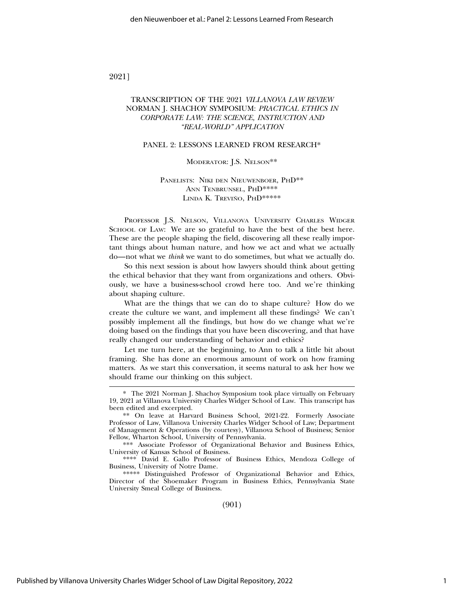### 2021]

### TRANSCRIPTION OF THE 2021 *VILLANOVA LAW REVIEW* NORMAN J. SHACHOY SYMPOSIUM: *PRACTICAL ETHICS IN CORPORATE LAW: THE SCIENCE, INSTRUCTION AND "REAL-WORLD" APPLICATION*

#### PANEL 2: LESSONS LEARNED FROM RESEARCH\*

#### MODERATOR: J.S. NELSON\*\*

#### PANELISTS: NIKI DEN NIEUWENBOER, PHD\*\* ANN TENBRUNSEL, PHD\*\*\*\* LINDA K. TREVIÑO, PHD\*\*\*\*\*

PROFESSOR J.S. NELSON, VILLANOVA UNIVERSITY CHARLES WIDGER SCHOOL OF LAW: We are so grateful to have the best of the best here. These are the people shaping the field, discovering all these really important things about human nature, and how we act and what we actually do—not what we *think* we want to do sometimes, but what we actually do.

So this next session is about how lawyers should think about getting the ethical behavior that they want from organizations and others. Obviously, we have a business-school crowd here too. And we're thinking about shaping culture.

What are the things that we can do to shape culture? How do we create the culture we want, and implement all these findings? We can't possibly implement all the findings, but how do we change what we're doing based on the findings that you have been discovering, and that have really changed our understanding of behavior and ethics?

Let me turn here, at the beginning, to Ann to talk a little bit about framing. She has done an enormous amount of work on how framing matters. As we start this conversation, it seems natural to ask her how we should frame our thinking on this subject.

\*\*\* Associate Professor of Organizational Behavior and Business Ethics, University of Kansas School of Business.

\*\*\*\* David E. Gallo Professor of Business Ethics, Mendoza College of Business, University of Notre Dame.

\*\*\*\*\* Distinguished Professor of Organizational Behavior and Ethics, Director of the Shoemaker Program in Business Ethics, Pennsylvania State University Smeal College of Business.

(901)

<sup>\*</sup> The 2021 Norman J. Shachoy Symposium took place virtually on February 19, 2021 at Villanova University Charles Widger School of Law. This transcript has been edited and excerpted.

<sup>\*\*</sup> On leave at Harvard Business School, 2021-22. Formerly Associate Professor of Law, Villanova University Charles Widger School of Law; Department of Management & Operations (by courtesy), Villanova School of Business; Senior Fellow, Wharton School, University of Pennsylvania.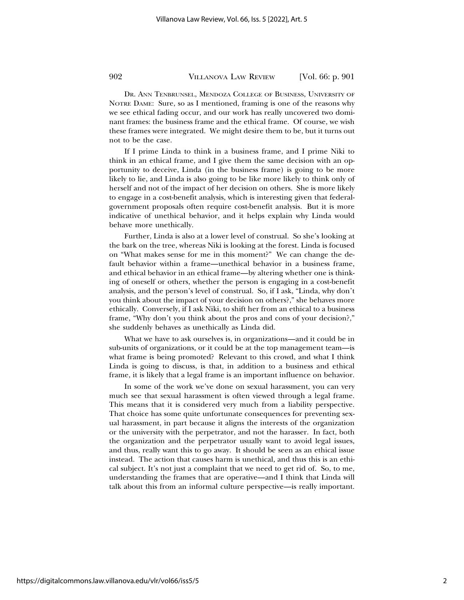DR. ANN TENBRUNSEL, MENDOZA COLLEGE OF BUSINESS, UNIVERSITY OF NOTRE DAME: Sure, so as I mentioned, framing is one of the reasons why we see ethical fading occur, and our work has really uncovered two dominant frames: the business frame and the ethical frame. Of course, we wish these frames were integrated. We might desire them to be, but it turns out not to be the case.

If I prime Linda to think in a business frame, and I prime Niki to think in an ethical frame, and I give them the same decision with an opportunity to deceive, Linda (in the business frame) is going to be more likely to lie, and Linda is also going to be like more likely to think only of herself and not of the impact of her decision on others. She is more likely to engage in a cost-benefit analysis, which is interesting given that federalgovernment proposals often require cost-benefit analysis. But it is more indicative of unethical behavior, and it helps explain why Linda would behave more unethically.

Further, Linda is also at a lower level of construal. So she's looking at the bark on the tree, whereas Niki is looking at the forest. Linda is focused on "What makes sense for me in this moment?" We can change the default behavior within a frame—unethical behavior in a business frame, and ethical behavior in an ethical frame—by altering whether one is thinking of oneself or others, whether the person is engaging in a cost-benefit analysis, and the person's level of construal. So, if I ask, "Linda, why don't you think about the impact of your decision on others?," she behaves more ethically. Conversely, if I ask Niki, to shift her from an ethical to a business frame, "Why don't you think about the pros and cons of your decision?," she suddenly behaves as unethically as Linda did.

What we have to ask ourselves is, in organizations—and it could be in sub-units of organizations, or it could be at the top management team—is what frame is being promoted? Relevant to this crowd, and what I think Linda is going to discuss, is that, in addition to a business and ethical frame, it is likely that a legal frame is an important influence on behavior.

In some of the work we've done on sexual harassment, you can very much see that sexual harassment is often viewed through a legal frame. This means that it is considered very much from a liability perspective. That choice has some quite unfortunate consequences for preventing sexual harassment, in part because it aligns the interests of the organization or the university with the perpetrator, and not the harasser. In fact, both the organization and the perpetrator usually want to avoid legal issues, and thus, really want this to go away. It should be seen as an ethical issue instead. The action that causes harm is unethical, and thus this is an ethical subject. It's not just a complaint that we need to get rid of. So, to me, understanding the frames that are operative—and I think that Linda will talk about this from an informal culture perspective—is really important.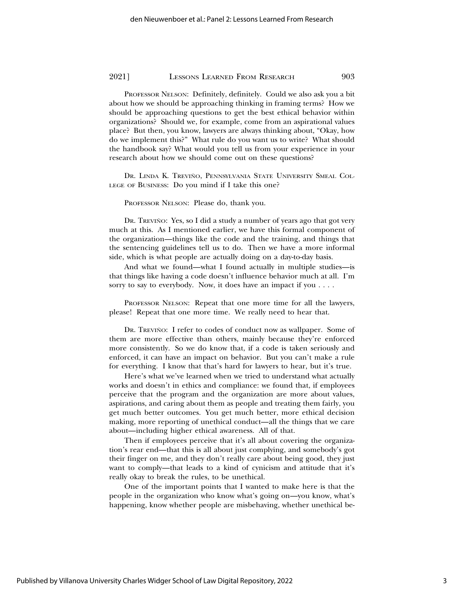PROFESSOR NELSON: Definitely, definitely. Could we also ask you a bit about how we should be approaching thinking in framing terms? How we should be approaching questions to get the best ethical behavior within organizations? Should we, for example, come from an aspirational values place? But then, you know, lawyers are always thinking about, "Okay, how do we implement this?" What rule do you want us to write? What should the handbook say? What would you tell us from your experience in your research about how we should come out on these questions?

DR. LINDA K. TREVIÑO, PENNSYLVANIA STATE UNIVERSITY SMEAL COL-LEGE OF BUSINESS: Do you mind if I take this one?

PROFESSOR NELSON: Please do, thank you.

DR. TREVIÑO: Yes, so I did a study a number of years ago that got very much at this. As I mentioned earlier, we have this formal component of the organization—things like the code and the training, and things that the sentencing guidelines tell us to do. Then we have a more informal side, which is what people are actually doing on a day-to-day basis.

And what we found—what I found actually in multiple studies—is that things like having a code doesn't influence behavior much at all. I'm sorry to say to everybody. Now, it does have an impact if you . . . .

PROFESSOR NELSON: Repeat that one more time for all the lawyers, please! Repeat that one more time. We really need to hear that.

DR. TREVIÑO: I refer to codes of conduct now as wallpaper. Some of them are more effective than others, mainly because they're enforced more consistently. So we do know that, if a code is taken seriously and enforced, it can have an impact on behavior. But you can't make a rule for everything. I know that that's hard for lawyers to hear, but it's true.

Here's what we've learned when we tried to understand what actually works and doesn't in ethics and compliance: we found that, if employees perceive that the program and the organization are more about values, aspirations, and caring about them as people and treating them fairly, you get much better outcomes. You get much better, more ethical decision making, more reporting of unethical conduct—all the things that we care about—including higher ethical awareness. All of that.

Then if employees perceive that it's all about covering the organization's rear end—that this is all about just complying, and somebody's got their finger on me, and they don't really care about being good, they just want to comply—that leads to a kind of cynicism and attitude that it's really okay to break the rules, to be unethical.

One of the important points that I wanted to make here is that the people in the organization who know what's going on—you know, what's happening, know whether people are misbehaving, whether unethical be-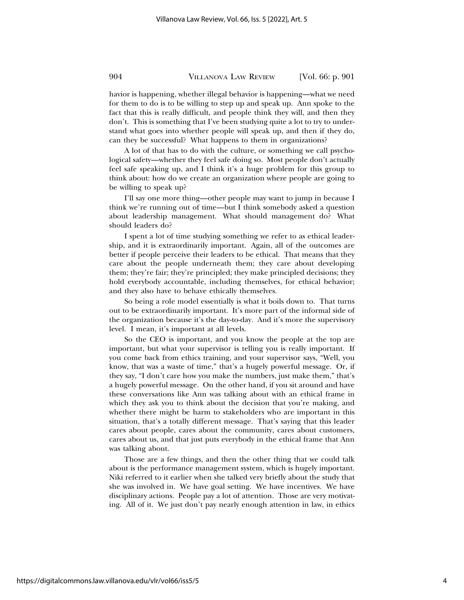havior is happening, whether illegal behavior is happening—what we need for them to do is to be willing to step up and speak up. Ann spoke to the fact that this is really difficult, and people think they will, and then they don't. This is something that I've been studying quite a lot to try to understand what goes into whether people will speak up, and then if they do, can they be successful? What happens to them in organizations?

A lot of that has to do with the culture, or something we call psychological safety—whether they feel safe doing so. Most people don't actually feel safe speaking up, and I think it's a huge problem for this group to think about: how do we create an organization where people are going to be willing to speak up?

I'll say one more thing—other people may want to jump in because I think we're running out of time—but I think somebody asked a question about leadership management. What should management do? What should leaders do?

I spent a lot of time studying something we refer to as ethical leadership, and it is extraordinarily important. Again, all of the outcomes are better if people perceive their leaders to be ethical. That means that they care about the people underneath them; they care about developing them; they're fair; they're principled; they make principled decisions; they hold everybody accountable, including themselves, for ethical behavior; and they also have to behave ethically themselves.

So being a role model essentially is what it boils down to. That turns out to be extraordinarily important. It's more part of the informal side of the organization because it's the day-to-day. And it's more the supervisory level. I mean, it's important at all levels.

So the CEO is important, and you know the people at the top are important, but what your supervisor is telling you is really important. If you come back from ethics training, and your supervisor says, "Well, you know, that was a waste of time," that's a hugely powerful message. Or, if they say, "I don't care how you make the numbers, just make them," that's a hugely powerful message. On the other hand, if you sit around and have these conversations like Ann was talking about with an ethical frame in which they ask you to think about the decision that you're making, and whether there might be harm to stakeholders who are important in this situation, that's a totally different message. That's saying that this leader cares about people, cares about the community, cares about customers, cares about us, and that just puts everybody in the ethical frame that Ann was talking about.

Those are a few things, and then the other thing that we could talk about is the performance management system, which is hugely important. Niki referred to it earlier when she talked very briefly about the study that she was involved in. We have goal setting. We have incentives. We have disciplinary actions. People pay a lot of attention. Those are very motivating. All of it. We just don't pay nearly enough attention in law, in ethics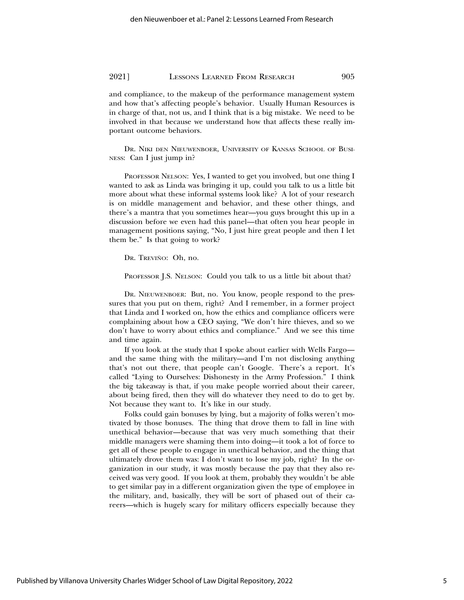and compliance, to the makeup of the performance management system and how that's affecting people's behavior. Usually Human Resources is in charge of that, not us, and I think that is a big mistake. We need to be involved in that because we understand how that affects these really important outcome behaviors.

DR. NIKI DEN NIEUWENBOER, UNIVERSITY OF KANSAS SCHOOL OF BUSI-NESS: Can I just jump in?

PROFESSOR NELSON: Yes, I wanted to get you involved, but one thing I wanted to ask as Linda was bringing it up, could you talk to us a little bit more about what these informal systems look like? A lot of your research is on middle management and behavior, and these other things, and there's a mantra that you sometimes hear—you guys brought this up in a discussion before we even had this panel—that often you hear people in management positions saying, "No, I just hire great people and then I let them be." Is that going to work?

DR. TREVIÑO: Oh, no.

PROFESSOR J.S. NELSON: Could you talk to us a little bit about that?

DR. NIEUWENBOER: But, no. You know, people respond to the pressures that you put on them, right? And I remember, in a former project that Linda and I worked on, how the ethics and compliance officers were complaining about how a CEO saying, "We don't hire thieves, and so we don't have to worry about ethics and compliance." And we see this time and time again.

If you look at the study that I spoke about earlier with Wells Fargo and the same thing with the military—and I'm not disclosing anything that's not out there, that people can't Google. There's a report. It's called "Lying to Ourselves: Dishonesty in the Army Profession." I think the big takeaway is that, if you make people worried about their career, about being fired, then they will do whatever they need to do to get by. Not because they want to. It's like in our study.

Folks could gain bonuses by lying, but a majority of folks weren't motivated by those bonuses. The thing that drove them to fall in line with unethical behavior—because that was very much something that their middle managers were shaming them into doing—it took a lot of force to get all of these people to engage in unethical behavior, and the thing that ultimately drove them was: I don't want to lose my job, right? In the organization in our study, it was mostly because the pay that they also received was very good. If you look at them, probably they wouldn't be able to get similar pay in a different organization given the type of employee in the military, and, basically, they will be sort of phased out of their careers—which is hugely scary for military officers especially because they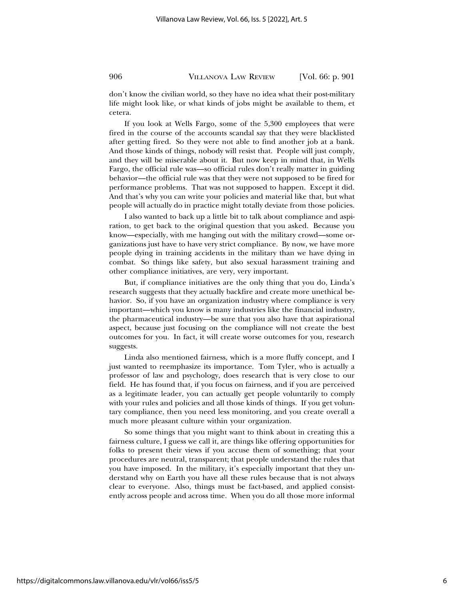don't know the civilian world, so they have no idea what their post-military life might look like, or what kinds of jobs might be available to them, et cetera.

If you look at Wells Fargo, some of the 5,300 employees that were fired in the course of the accounts scandal say that they were blacklisted after getting fired. So they were not able to find another job at a bank. And those kinds of things, nobody will resist that. People will just comply, and they will be miserable about it. But now keep in mind that, in Wells Fargo, the official rule was—so official rules don't really matter in guiding behavior—the official rule was that they were not supposed to be fired for performance problems. That was not supposed to happen. Except it did. And that's why you can write your policies and material like that, but what people will actually do in practice might totally deviate from those policies.

I also wanted to back up a little bit to talk about compliance and aspiration, to get back to the original question that you asked. Because you know—especially, with me hanging out with the military crowd—some organizations just have to have very strict compliance. By now, we have more people dying in training accidents in the military than we have dying in combat. So things like safety, but also sexual harassment training and other compliance initiatives, are very, very important.

But, if compliance initiatives are the only thing that you do, Linda's research suggests that they actually backfire and create more unethical behavior. So, if you have an organization industry where compliance is very important—which you know is many industries like the financial industry, the pharmaceutical industry—be sure that you also have that aspirational aspect, because just focusing on the compliance will not create the best outcomes for you. In fact, it will create worse outcomes for you, research suggests.

Linda also mentioned fairness, which is a more fluffy concept, and I just wanted to reemphasize its importance. Tom Tyler, who is actually a professor of law and psychology, does research that is very close to our field. He has found that, if you focus on fairness, and if you are perceived as a legitimate leader, you can actually get people voluntarily to comply with your rules and policies and all those kinds of things. If you get voluntary compliance, then you need less monitoring, and you create overall a much more pleasant culture within your organization.

So some things that you might want to think about in creating this a fairness culture, I guess we call it, are things like offering opportunities for folks to present their views if you accuse them of something; that your procedures are neutral, transparent; that people understand the rules that you have imposed. In the military, it's especially important that they understand why on Earth you have all these rules because that is not always clear to everyone. Also, things must be fact-based, and applied consistently across people and across time. When you do all those more informal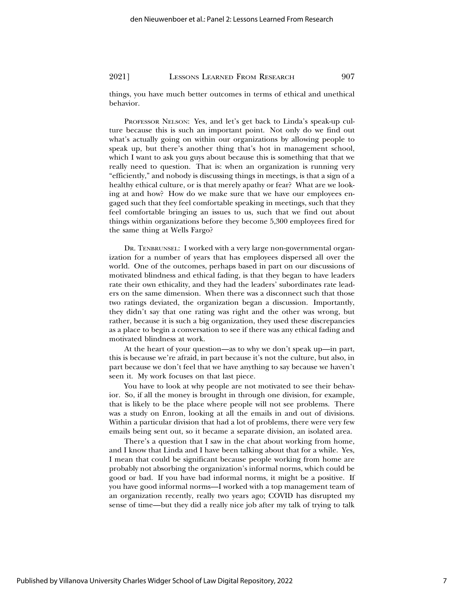things, you have much better outcomes in terms of ethical and unethical behavior.

PROFESSOR NELSON: Yes, and let's get back to Linda's speak-up culture because this is such an important point. Not only do we find out what's actually going on within our organizations by allowing people to speak up, but there's another thing that's hot in management school, which I want to ask you guys about because this is something that that we really need to question. That is: when an organization is running very "efficiently," and nobody is discussing things in meetings, is that a sign of a healthy ethical culture, or is that merely apathy or fear? What are we looking at and how? How do we make sure that we have our employees engaged such that they feel comfortable speaking in meetings, such that they feel comfortable bringing an issues to us, such that we find out about things within organizations before they become 5,300 employees fired for the same thing at Wells Fargo?

DR. TENBRUNSEL: I worked with a very large non-governmental organization for a number of years that has employees dispersed all over the world. One of the outcomes, perhaps based in part on our discussions of motivated blindness and ethical fading, is that they began to have leaders rate their own ethicality, and they had the leaders' subordinates rate leaders on the same dimension. When there was a disconnect such that those two ratings deviated, the organization began a discussion. Importantly, they didn't say that one rating was right and the other was wrong, but rather, because it is such a big organization, they used these discrepancies as a place to begin a conversation to see if there was any ethical fading and motivated blindness at work.

At the heart of your question—as to why we don't speak up—in part, this is because we're afraid, in part because it's not the culture, but also, in part because we don't feel that we have anything to say because we haven't seen it. My work focuses on that last piece.

You have to look at why people are not motivated to see their behavior. So, if all the money is brought in through one division, for example, that is likely to be the place where people will not see problems. There was a study on Enron, looking at all the emails in and out of divisions. Within a particular division that had a lot of problems, there were very few emails being sent out, so it became a separate division, an isolated area.

There's a question that I saw in the chat about working from home, and I know that Linda and I have been talking about that for a while. Yes, I mean that could be significant because people working from home are probably not absorbing the organization's informal norms, which could be good or bad. If you have bad informal norms, it might be a positive. If you have good informal norms—I worked with a top management team of an organization recently, really two years ago; COVID has disrupted my sense of time—but they did a really nice job after my talk of trying to talk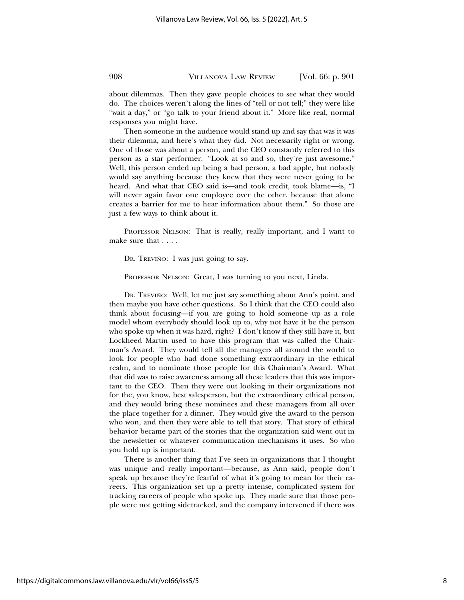about dilemmas. Then they gave people choices to see what they would do. The choices weren't along the lines of "tell or not tell;" they were like "wait a day," or "go talk to your friend about it." More like real, normal responses you might have.

Then someone in the audience would stand up and say that was it was their dilemma, and here's what they did. Not necessarily right or wrong. One of those was about a person, and the CEO constantly referred to this person as a star performer. "Look at so and so, they're just awesome." Well, this person ended up being a bad person, a bad apple, but nobody would say anything because they knew that they were never going to be heard. And what that CEO said is—and took credit, took blame—is, "I will never again favor one employee over the other, because that alone creates a barrier for me to hear information about them." So those are just a few ways to think about it.

PROFESSOR NELSON: That is really, really important, and I want to make sure that . . . .

DR. TREVIÑO: I was just going to say.

PROFESSOR NELSON: Great, I was turning to you next, Linda.

DR. TREVIÑO: Well, let me just say something about Ann's point, and then maybe you have other questions. So I think that the CEO could also think about focusing—if you are going to hold someone up as a role model whom everybody should look up to, why not have it be the person who spoke up when it was hard, right? I don't know if they still have it, but Lockheed Martin used to have this program that was called the Chairman's Award. They would tell all the managers all around the world to look for people who had done something extraordinary in the ethical realm, and to nominate those people for this Chairman's Award. What that did was to raise awareness among all these leaders that this was important to the CEO. Then they were out looking in their organizations not for the, you know, best salesperson, but the extraordinary ethical person, and they would bring these nominees and these managers from all over the place together for a dinner. They would give the award to the person who won, and then they were able to tell that story. That story of ethical behavior became part of the stories that the organization said went out in the newsletter or whatever communication mechanisms it uses. So who you hold up is important.

There is another thing that I've seen in organizations that I thought was unique and really important—because, as Ann said, people don't speak up because they're fearful of what it's going to mean for their careers. This organization set up a pretty intense, complicated system for tracking careers of people who spoke up. They made sure that those people were not getting sidetracked, and the company intervened if there was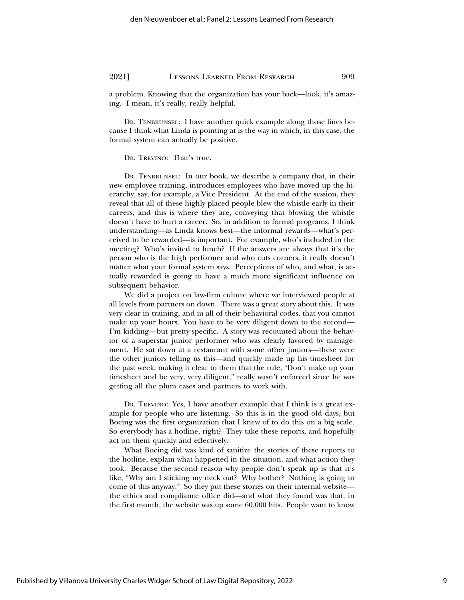a problem. Knowing that the organization has your back—look, it's amazing. I mean, it's really, really helpful.

DR. TENBRUNSEL: I have another quick example along those lines because I think what Linda is pointing at is the way in which, in this case, the formal system can actually be positive.

DR. TREVIÑO: That's true.

DR. TENBRUNSEL: In our book, we describe a company that, in their new employee training, introduces employees who have moved up the hierarchy, say, for example, a Vice President. At the end of the session, they reveal that all of these highly placed people blew the whistle early in their careers, and this is where they are, conveying that blowing the whistle doesn't have to hurt a career. So, in addition to formal programs, I think understanding—as Linda knows best—the informal rewards—what's perceived to be rewarded—is important. For example, who's included in the meeting? Who's invited to lunch? If the answers are always that it's the person who is the high performer and who cuts corners, it really doesn't matter what your formal system says. Perceptions of who, and what, is actually rewarded is going to have a much more significant influence on subsequent behavior.

We did a project on law-firm culture where we interviewed people at all levels from partners on down. There was a great story about this. It was very clear in training, and in all of their behavioral codes, that you cannot make up your hours. You have to be very diligent down to the second— I'm kidding—but pretty specific. A story was recounted about the behavior of a superstar junior performer who was clearly favored by management. He sat down at a restaurant with some other juniors—these were the other juniors telling us this—and quickly made up his timesheet for the past week, making it clear to them that the rule, "Don't make up your timesheet and be very, very diligent," really wasn't enforced since he was getting all the plum cases and partners to work with.

DR. TREVIÑO: Yes, I have another example that I think is a great example for people who are listening. So this is in the good old days, but Boeing was the first organization that I knew of to do this on a big scale. So everybody has a hotline, right? They take these reports, and hopefully act on them quickly and effectively.

What Boeing did was kind of sanitize the stories of these reports to the hotline, explain what happened in the situation, and what action they took. Because the second reason why people don't speak up is that it's like, "Why am I sticking my neck out? Why bother? Nothing is going to come of this anyway." So they put these stories on their internal website the ethics and compliance office did—and what they found was that, in the first month, the website was up some 60,000 hits. People want to know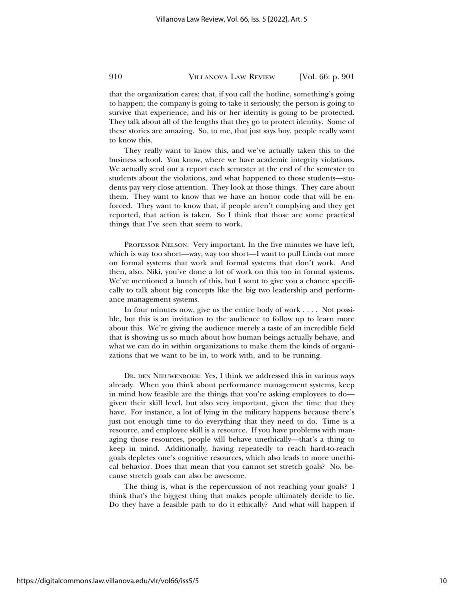that the organization cares; that, if you call the hotline, something's going to happen; the company is going to take it seriously; the person is going to survive that experience, and his or her identity is going to be protected. They talk about all of the lengths that they go to protect identity. Some of these stories are amazing. So, to me, that just says boy, people really want to know this.

They really want to know this, and we've actually taken this to the business school. You know, where we have academic integrity violations. We actually send out a report each semester at the end of the semester to students about the violations, and what happened to those students—students pay very close attention. They look at those things. They care about them. They want to know that we have an honor code that will be enforced. They want to know that, if people aren't complying and they get reported, that action is taken. So I think that those are some practical things that I've seen that seem to work.

PROFESSOR NELSON: Very important. In the five minutes we have left, which is way too short—way, way too short—I want to pull Linda out more on formal systems that work and formal systems that don't work. And then, also, Niki, you've done a lot of work on this too in formal systems. We've mentioned a bunch of this, but I want to give you a chance specifically to talk about big concepts like the big two leadership and performance management systems.

In four minutes now, give us the entire body of work . . . . Not possible, but this is an invitation to the audience to follow up to learn more about this. We're giving the audience merely a taste of an incredible field that is showing us so much about how human beings actually behave, and what we can do in within organizations to make them the kinds of organizations that we want to be in, to work with, and to be running.

DR. DEN NIEUWENBOER: Yes, I think we addressed this in various ways already. When you think about performance management systems, keep in mind how feasible are the things that you're asking employees to do given their skill level, but also very important, given the time that they have. For instance, a lot of lying in the military happens because there's just not enough time to do everything that they need to do. Time is a resource, and employee skill is a resource. If you have problems with managing those resources, people will behave unethically—that's a thing to keep in mind. Additionally, having repeatedly to reach hard-to-reach goals depletes one's cognitive resources, which also leads to more unethical behavior. Does that mean that you cannot set stretch goals? No, because stretch goals can also be awesome.

The thing is, what is the repercussion of not reaching your goals? I think that's the biggest thing that makes people ultimately decide to lie. Do they have a feasible path to do it ethically? And what will happen if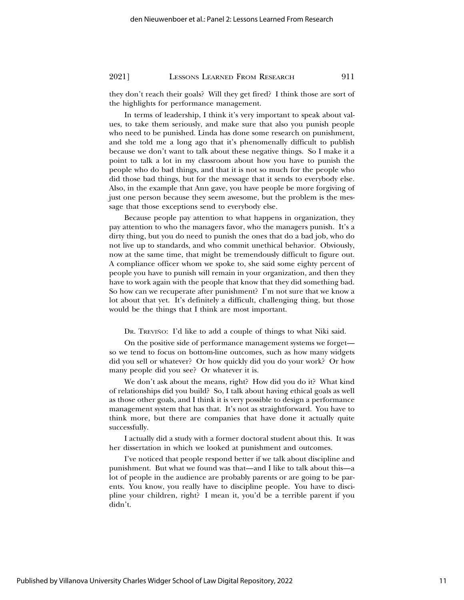they don't reach their goals? Will they get fired? I think those are sort of the highlights for performance management.

In terms of leadership, I think it's very important to speak about values, to take them seriously, and make sure that also you punish people who need to be punished. Linda has done some research on punishment, and she told me a long ago that it's phenomenally difficult to publish because we don't want to talk about these negative things. So I make it a point to talk a lot in my classroom about how you have to punish the people who do bad things, and that it is not so much for the people who did those bad things, but for the message that it sends to everybody else. Also, in the example that Ann gave, you have people be more forgiving of just one person because they seem awesome, but the problem is the message that those exceptions send to everybody else.

Because people pay attention to what happens in organization, they pay attention to who the managers favor, who the managers punish. It's a dirty thing, but you do need to punish the ones that do a bad job, who do not live up to standards, and who commit unethical behavior. Obviously, now at the same time, that might be tremendously difficult to figure out. A compliance officer whom we spoke to, she said some eighty percent of people you have to punish will remain in your organization, and then they have to work again with the people that know that they did something bad. So how can we recuperate after punishment? I'm not sure that we know a lot about that yet. It's definitely a difficult, challenging thing, but those would be the things that I think are most important.

DR. TREVIÑO: I'd like to add a couple of things to what Niki said.

On the positive side of performance management systems we forget so we tend to focus on bottom-line outcomes, such as how many widgets did you sell or whatever? Or how quickly did you do your work? Or how many people did you see? Or whatever it is.

We don't ask about the means, right? How did you do it? What kind of relationships did you build? So, I talk about having ethical goals as well as those other goals, and I think it is very possible to design a performance management system that has that. It's not as straightforward. You have to think more, but there are companies that have done it actually quite successfully.

I actually did a study with a former doctoral student about this. It was her dissertation in which we looked at punishment and outcomes.

I've noticed that people respond better if we talk about discipline and punishment. But what we found was that—and I like to talk about this—a lot of people in the audience are probably parents or are going to be parents. You know, you really have to discipline people. You have to discipline your children, right? I mean it, you'd be a terrible parent if you didn't.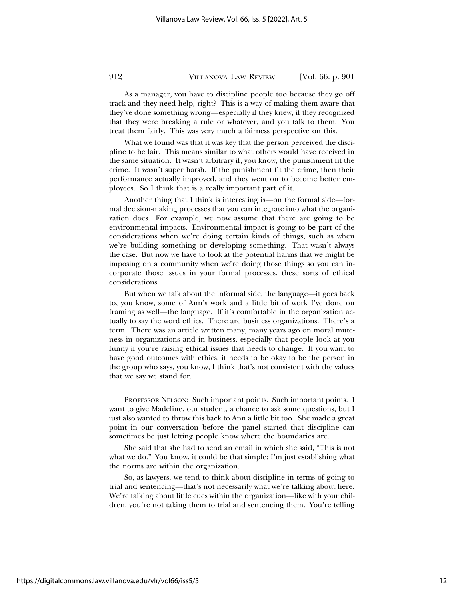As a manager, you have to discipline people too because they go off track and they need help, right? This is a way of making them aware that they've done something wrong—especially if they knew, if they recognized that they were breaking a rule or whatever, and you talk to them. You treat them fairly. This was very much a fairness perspective on this.

What we found was that it was key that the person perceived the discipline to be fair. This means similar to what others would have received in the same situation. It wasn't arbitrary if, you know, the punishment fit the crime. It wasn't super harsh. If the punishment fit the crime, then their performance actually improved, and they went on to become better employees. So I think that is a really important part of it.

Another thing that I think is interesting is—on the formal side—formal decision-making processes that you can integrate into what the organization does. For example, we now assume that there are going to be environmental impacts. Environmental impact is going to be part of the considerations when we're doing certain kinds of things, such as when we're building something or developing something. That wasn't always the case. But now we have to look at the potential harms that we might be imposing on a community when we're doing those things so you can incorporate those issues in your formal processes, these sorts of ethical considerations.

But when we talk about the informal side, the language—it goes back to, you know, some of Ann's work and a little bit of work I've done on framing as well—the language. If it's comfortable in the organization actually to say the word ethics. There are business organizations. There's a term. There was an article written many, many years ago on moral muteness in organizations and in business, especially that people look at you funny if you're raising ethical issues that needs to change. If you want to have good outcomes with ethics, it needs to be okay to be the person in the group who says, you know, I think that's not consistent with the values that we say we stand for.

PROFESSOR NELSON: Such important points. Such important points. I want to give Madeline, our student, a chance to ask some questions, but I just also wanted to throw this back to Ann a little bit too. She made a great point in our conversation before the panel started that discipline can sometimes be just letting people know where the boundaries are.

She said that she had to send an email in which she said, "This is not what we do." You know, it could be that simple: I'm just establishing what the norms are within the organization.

So, as lawyers, we tend to think about discipline in terms of going to trial and sentencing—that's not necessarily what we're talking about here. We're talking about little cues within the organization—like with your children, you're not taking them to trial and sentencing them. You're telling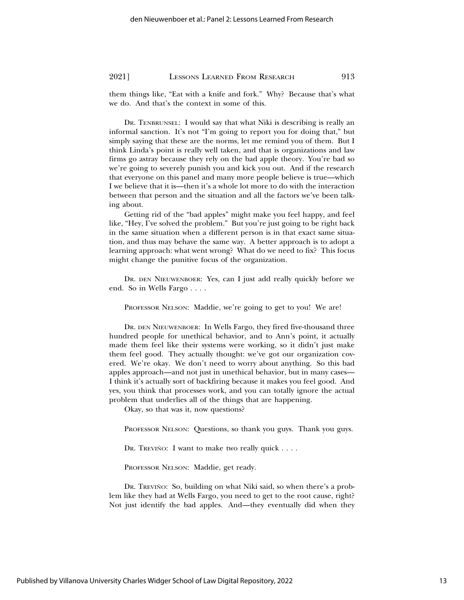them things like, "Eat with a knife and fork." Why? Because that's what we do. And that's the context in some of this.

DR. TENBRUNSEL: I would say that what Niki is describing is really an informal sanction. It's not "I'm going to report you for doing that," but simply saying that these are the norms, let me remind you of them. But I think Linda's point is really well taken, and that is organizations and law firms go astray because they rely on the bad apple theory. You're bad so we're going to severely punish you and kick you out. And if the research that everyone on this panel and many more people believe is true—which I we believe that it is—then it's a whole lot more to do with the interaction between that person and the situation and all the factors we've been talking about.

Getting rid of the "bad apples" might make you feel happy, and feel like, "Hey, I've solved the problem." But you're just going to be right back in the same situation when a different person is in that exact same situation, and thus may behave the same way. A better approach is to adopt a learning approach: what went wrong? What do we need to fix? This focus might change the punitive focus of the organization.

DR. DEN NIEUWENBOER: Yes, can I just add really quickly before we end. So in Wells Fargo . . . .

PROFESSOR NELSON: Maddie, we're going to get to you! We are!

DR. DEN NIEUWENBOER: In Wells Fargo, they fired five-thousand three hundred people for unethical behavior, and to Ann's point, it actually made them feel like their systems were working, so it didn't just make them feel good. They actually thought: we've got our organization covered. We're okay. We don't need to worry about anything. So this bad apples approach—and not just in unethical behavior, but in many cases— I think it's actually sort of backfiring because it makes you feel good. And yes, you think that processes work, and you can totally ignore the actual problem that underlies all of the things that are happening.

Okay, so that was it, now questions?

PROFESSOR NELSON: Questions, so thank you guys. Thank you guys.

Dr. Treviño: I want to make two really quick  $\dots$ .

PROFESSOR NELSON: Maddie, get ready.

DR. TREVIÑO: So, building on what Niki said, so when there's a problem like they had at Wells Fargo, you need to get to the root cause, right? Not just identify the bad apples. And—they eventually did when they